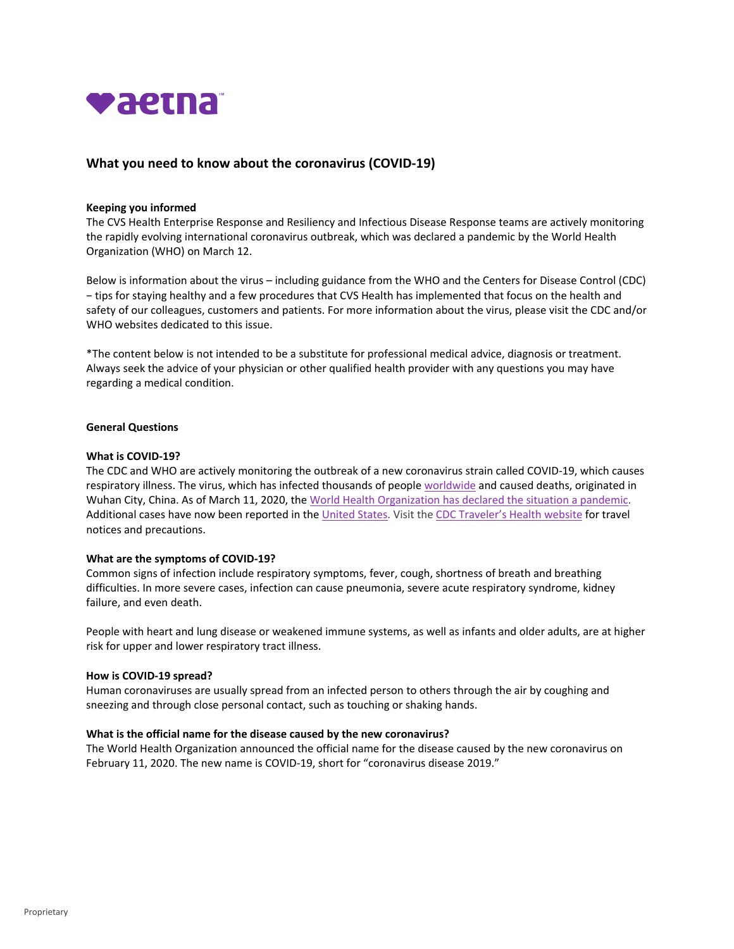

# **What you need to know about the coronavirus (COVID‐19)**

### **Keeping you informed**

The CVS Health Enterprise Response and Resiliency and Infectious Disease Response teams are actively monitoring the rapidly evolving international coronavirus outbreak, which was declared a pandemic by the World Health Organization (WHO) on March 12.

Below is information about the virus – including guidance from the WHO and the Centers for Disease Control (CDC) − tips for staying healthy and a few procedures that CVS Health has implemented that focus on the health and safety of our colleagues, customers and patients. For more information about the virus, please visit the CDC and/or WHO websites dedicated to this issue.

\*The content below is not intended to be a substitute for professional medical advice, diagnosis or treatment. Always seek the advice of your physician or other qualified health provider with any questions you may have regarding a medical condition.

### **General Questions**

### **What is COVID‐19?**

The CDC and WHO are actively monitoring the outbreak of a new coronavirus strain called COVID‐19, which causes respiratory illness. The virus, which has infected thousands of people worldwide and caused deaths, originated in Wuhan City, China. As of March 11, 2020, the World Health Organization has declared the situation a pandemic. Additional cases have now been reported in the United States. Visit the CDC Traveler's Health website for travel notices and precautions.

### **What are the symptoms of COVID‐19?**

Common signs of infection include respiratory symptoms, fever, cough, shortness of breath and breathing difficulties. In more severe cases, infection can cause pneumonia, severe acute respiratory syndrome, kidney failure, and even death.

People with heart and lung disease or weakened immune systems, as well as infants and older adults, are at higher risk for upper and lower respiratory tract illness.

#### **How is COVID‐19 spread?**

Human coronaviruses are usually spread from an infected person to others through the air by coughing and sneezing and through close personal contact, such as touching or shaking hands.

### **What is the official name for the disease caused by the new coronavirus?**

The World Health Organization announced the official name for the disease caused by the new coronavirus on February 11, 2020. The new name is COVID-19, short for "coronavirus disease 2019."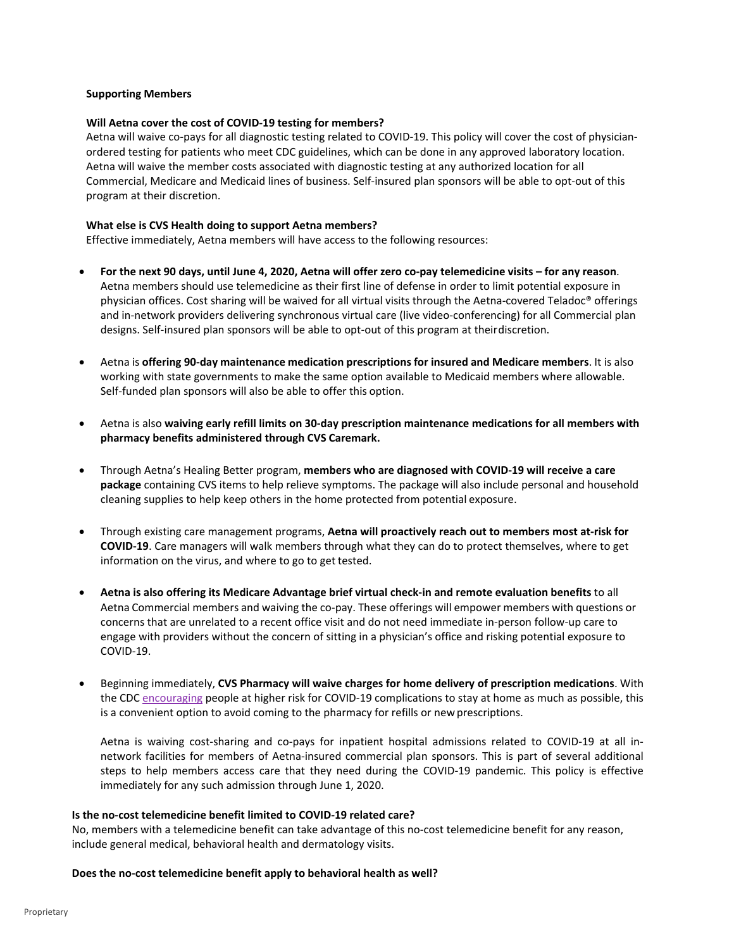### **Supporting Members**

### **Will Aetna cover the cost of COVID‐19 testing for members?**

Aetna will waive co-pays for all diagnostic testing related to COVID-19. This policy will cover the cost of physicianordered testing for patients who meet CDC guidelines, which can be done in any approved laboratory location. Aetna will waive the member costs associated with diagnostic testing at any authorized location for all Commercial, Medicare and Medicaid lines of business. Self‐insured plan sponsors will be able to opt‐out of this program at their discretion.

### **What else is CVS Health doing to support Aetna members?**

Effective immediately, Aetna members will have access to the following resources:

- For the next 90 days, until June 4, 2020, Aetna will offer zero co-pay telemedicine visits for any reason. Aetna members should use telemedicine as their first line of defense in order to limit potential exposure in physician offices. Cost sharing will be waived for all virtual visits through the Aetna-covered Teladoc<sup>®</sup> offerings and in-network providers delivering synchronous virtual care (live video-conferencing) for all Commercial plan designs. Self-insured plan sponsors will be able to opt-out of this program at theirdiscretion.
- Aetna is **offering 90‐day maintenance medication prescriptions for insured and Medicare members**. It is also working with state governments to make the same option available to Medicaid members where allowable. Self-funded plan sponsors will also be able to offer this option.
- Aetna is also **waiving early refill limits on 30‐day prescription maintenance medications for all members with pharmacy benefits administered through CVS Caremark.**
- Through Aetna's Healing Better program, **members who are diagnosed with COVID‐19 will receive a care package** containing CVS items to help relieve symptoms. The package will also include personal and household cleaning supplies to help keep others in the home protected from potential exposure.
- Through existing care management programs, **Aetna will proactively reach out to members most at‐risk for COVID‐19**. Care managers will walk members through what they can do to protect themselves, where to get information on the virus, and where to go to get tested.
- **Aetna is also offering its Medicare Advantage brief virtual check‐in and remote evaluation benefits** to all Aetna Commercial members and waiving the co‐pay. These offerings will empower members with questions or concerns that are unrelated to a recent office visit and do not need immediate in‐person follow‐up care to engage with providers without the concern of sitting in a physician's office and risking potential exposure to COVID‐19.
- Beginning immediately, **CVS Pharmacy will waive charges for home delivery of prescription medications**. With the CDC encouraging people at higher risk for COVID-19 complications to stay at home as much as possible, this is a convenient option to avoid coming to the pharmacy for refills or new prescriptions.

 Aetna is waiving cost‐sharing and co‐pays for inpatient hospital admissions related to COVID‐19 at all in‐ network facilities for members of Aetna‐insured commercial plan sponsors. This is part of several additional steps to help members access care that they need during the COVID‐19 pandemic. This policy is effective immediately for any such admission through June 1, 2020.

### **Is the no‐cost telemedicine benefit limited to COVID‐19 related care?**

No, members with a telemedicine benefit can take advantage of this no‐cost telemedicine benefit for any reason, include general medical, behavioral health and dermatology visits.

### **Does the no‐cost telemedicine benefit apply to behavioral health as well?**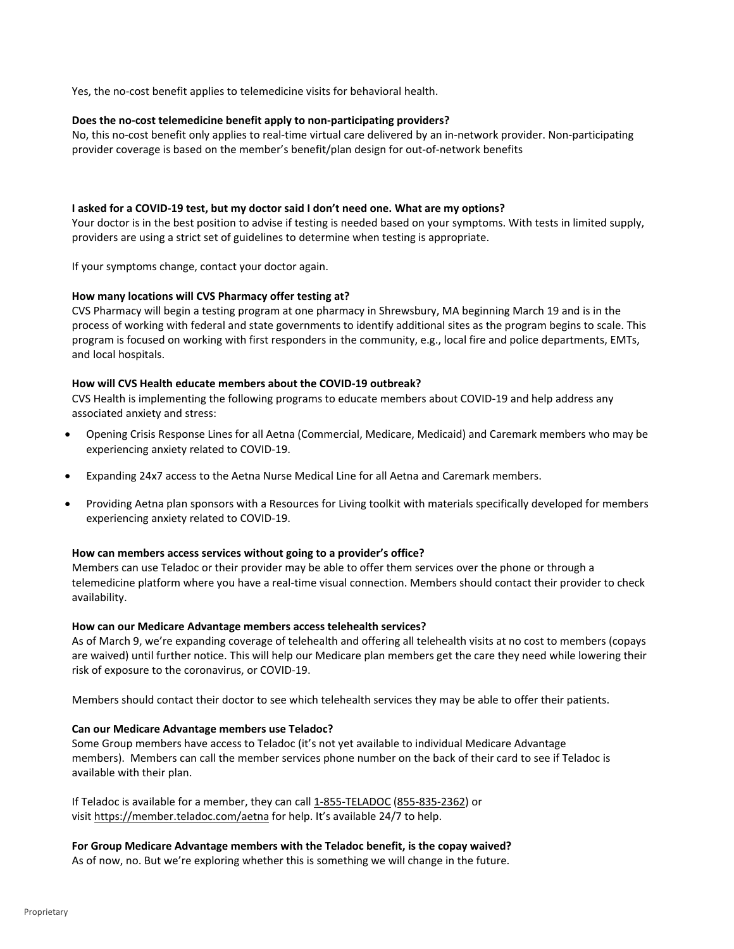Yes, the no-cost benefit applies to telemedicine visits for behavioral health.

## **Does the no‐cost telemedicine benefit apply to non‐participating providers?**

No, this no-cost benefit only applies to real-time virtual care delivered by an in-network provider. Non-participating provider coverage is based on the member's benefit/plan design for out‐of‐network benefits

## I asked for a COVID-19 test, but my doctor said I don't need one. What are my options?

Your doctor is in the best position to advise if testing is needed based on your symptoms. With tests in limited supply, providers are using a strict set of guidelines to determine when testing is appropriate.

If your symptoms change, contact your doctor again.

## **How many locations will CVS Pharmacy offer testing at?**

CVS Pharmacy will begin a testing program at one pharmacy in Shrewsbury, MA beginning March 19 and is in the process of working with federal and state governments to identify additional sites as the program begins to scale. This program is focused on working with first responders in the community, e.g., local fire and police departments, EMTs, and local hospitals.

## **How will CVS Health educate members about the COVID‐19 outbreak?**

CVS Health is implementing the following programs to educate members about COVID‐19 and help address any associated anxiety and stress:

- Opening Crisis Response Lines for all Aetna (Commercial, Medicare, Medicaid) and Caremark members who may be experiencing anxiety related to COVID‐19.
- Expanding 24x7 access to the Aetna Nurse Medical Line for all Aetna and Caremark members.
- Providing Aetna plan sponsors with a Resources for Living toolkit with materials specifically developed for members experiencing anxiety related to COVID‐19.

### **How can members access services without going to a provider's office?**

Members can use Teladoc or their provider may be able to offer them services over the phone or through a telemedicine platform where you have a real‐time visual connection. Members should contact their provider to check availability.

### **How can our Medicare Advantage members access telehealth services?**

As of March 9, we're expanding coverage of telehealth and offering all telehealth visits at no cost to members (copays are waived) until further notice. This will help our Medicare plan members get the care they need while lowering their risk of exposure to the coronavirus, or COVID‐19.

Members should contact their doctor to see which telehealth services they may be able to offer their patients.

## **Can our Medicare Advantage members use Teladoc?**

Some Group members have access to Teladoc (it's not yet available to individual Medicare Advantage members). Members can call the member services phone number on the back of their card to see if Teladoc is available with their plan.

If Teladoc is available for a member, they can call 1-855-TELADOC (855-835-2362) or visit https://member.teladoc.com/aetna for help. It's available 24/7 to help.

## **For Group Medicare Advantage members with the Teladoc benefit, is the copay waived?**

As of now, no. But we're exploring whether this is something we will change in the future.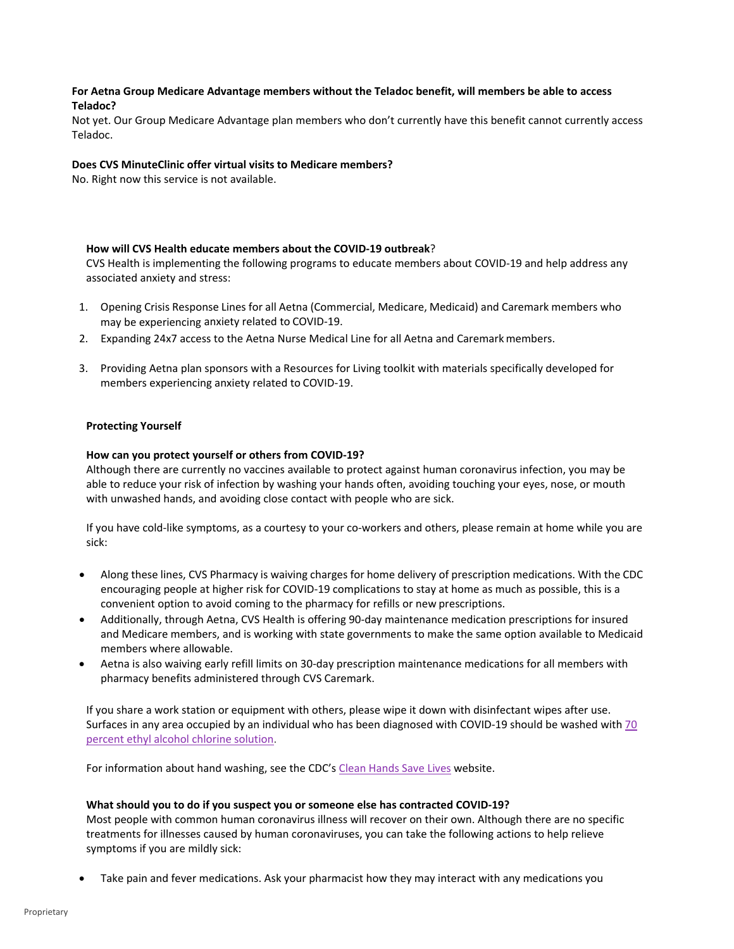## **For Aetna Group Medicare Advantage members without the Teladoc benefit, will members be able to access Teladoc?**

Not yet. Our Group Medicare Advantage plan members who don't currently have this benefit cannot currently access Teladoc.

## **Does CVS MinuteClinic offer virtual visits to Medicare members?**

No. Right now this service is not available.

## **How will CVS Health educate members about the COVID‐19 outbreak**?

CVS Health is implementing the following programs to educate members about COVID‐19 and help address any associated anxiety and stress:

- 1. Opening Crisis Response Lines for all Aetna (Commercial, Medicare, Medicaid) and Caremark members who may be experiencing anxiety related to COVID‐19.
- 2. Expanding 24x7 access to the Aetna Nurse Medical Line for all Aetna and Caremarkmembers.
- 3. Providing Aetna plan sponsors with a Resources for Living toolkit with materials specifically developed for members experiencing anxiety related to COVID‐19.

## **Protecting Yourself**

# **How can you protect yourself or others from COVID‐19?**

Although there are currently no vaccines available to protect against human coronavirus infection, you may be able to reduce your risk of infection by washing your hands often, avoiding touching your eyes, nose, or mouth with unwashed hands, and avoiding close contact with people who are sick.

If you have cold-like symptoms, as a courtesy to your co-workers and others, please remain at home while you are sick:

- Along these lines, CVS Pharmacy is waiving charges for home delivery of prescription medications. With the CDC encouraging people at higher risk for COVID‐19 complications to stay at home as much as possible, this is a convenient option to avoid coming to the pharmacy for refills or new prescriptions.
- Additionally, through Aetna, CVS Health is offering 90‐day maintenance medication prescriptions for insured and Medicare members, and is working with state governments to make the same option available to Medicaid members where allowable.
- Aetna is also waiving early refill limits on 30‐day prescription maintenance medications for all members with pharmacy benefits administered through CVS Caremark.

If you share a work station or equipment with others, please wipe it down with disinfectant wipes after use. Surfaces in any area occupied by an individual who has been diagnosed with COVID‐19 should be washed with 70 percent ethyl alcohol chlorine solution.

For information about hand washing, see the CDC's Clean Hands Save Lives website.

## **What should you to do if you suspect you or someone else has contracted COVID‐19?**

Most people with common human coronavirus illness will recover on their own. Although there are no specific treatments for illnesses caused by human coronaviruses, you can take the following actions to help relieve symptoms if you are mildly sick:

Take pain and fever medications. Ask your pharmacist how they may interact with any medications you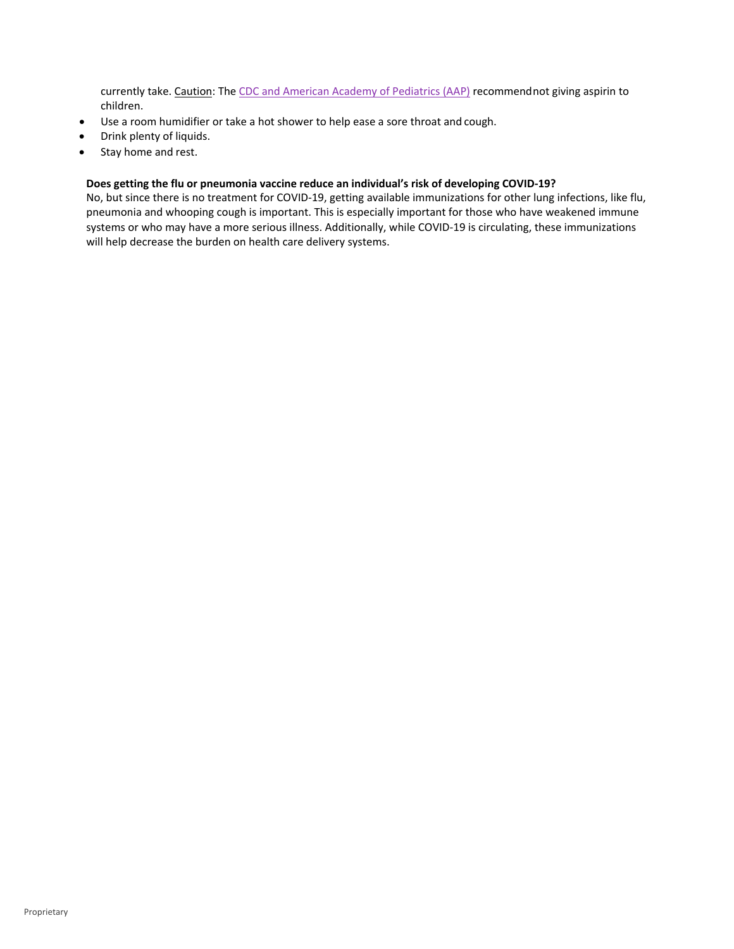currently take. Caution: The CDC and American Academy of Pediatrics (AAP) recommendnot giving aspirin to children.

- Use a room humidifier or take a hot shower to help ease a sore throat and cough.
- Drink plenty of liquids.
- Stay home and rest.

## **Does getting the flu or pneumonia vaccine reduce an individual's risk of developing COVID‐19?**

No, but since there is no treatment for COVID‐19, getting available immunizations for other lung infections, like flu, pneumonia and whooping cough is important. This is especially important for those who have weakened immune systems or who may have a more serious illness. Additionally, while COVID‐19 is circulating, these immunizations will help decrease the burden on health care delivery systems.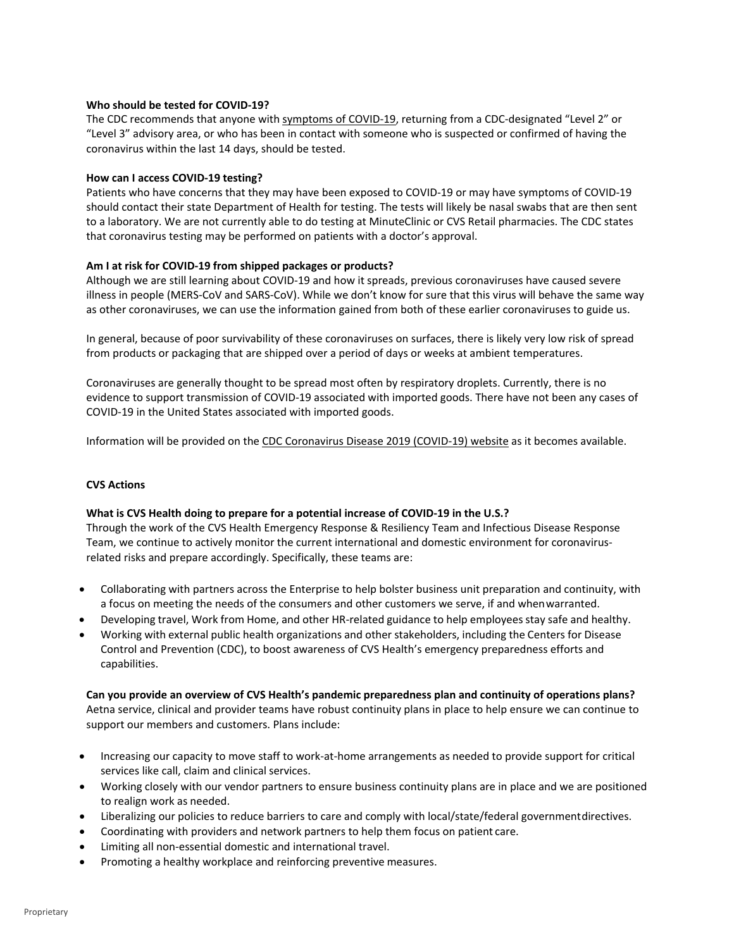## **Who should be tested for COVID‐19?**

The CDC recommends that anyone with symptoms of COVID-19, returning from a CDC-designated "Level 2" or "Level 3" advisory area, or who has been in contact with someone who is suspected or confirmed of having the coronavirus within the last 14 days, should be tested.

### **How can I access COVID‐19 testing?**

Patients who have concerns that they may have been exposed to COVID‐19 or may have symptoms of COVID‐19 should contact their state Department of Health for testing. The tests will likely be nasal swabs that are then sent to a laboratory. We are not currently able to do testing at MinuteClinic or CVS Retail pharmacies. The CDC states that coronavirus testing may be performed on patients with a doctor's approval.

## **Am I at risk for COVID‐19 from shipped packages or products?**

Although we are still learning about COVID‐19 and how it spreads, previous coronaviruses have caused severe illness in people (MERS‐CoV and SARS‐CoV). While we don't know for sure that this virus will behave the same way as other coronaviruses, we can use the information gained from both of these earlier coronaviruses to guide us.

In general, because of poor survivability of these coronaviruses on surfaces, there is likely very low risk of spread from products or packaging that are shipped over a period of days or weeks at ambient temperatures.

Coronaviruses are generally thought to be spread most often by respiratory droplets. Currently, there is no evidence to support transmission of COVID‐19 associated with imported goods. There have not been any cases of COVID‐19 in the United States associated with imported goods.

Information will be provided on the CDC Coronavirus Disease 2019 (COVID‐19) website as it becomes available.

## **CVS Actions**

### **What is CVS Health doing to prepare for a potential increase of COVID‐19 in the U.S.?**

Through the work of the CVS Health Emergency Response & Resiliency Team and Infectious Disease Response Team, we continue to actively monitor the current international and domestic environment for coronavirus‐ related risks and prepare accordingly. Specifically, these teams are:

- Collaborating with partners across the Enterprise to help bolster business unit preparation and continuity, with a focus on meeting the needs of the consumers and other customers we serve, if and whenwarranted.
- Developing travel, Work from Home, and other HR-related guidance to help employees stay safe and healthy.
- Working with external public health organizations and other stakeholders, including the Centers for Disease Control and Prevention (CDC), to boost awareness of CVS Health's emergency preparedness efforts and capabilities.

**Can you provide an overview of CVS Health's pandemic preparedness plan and continuity of operations plans?** Aetna service, clinical and provider teams have robust continuity plans in place to help ensure we can continue to support our members and customers. Plans include:

- Increasing our capacity to move staff to work-at-home arrangements as needed to provide support for critical services like call, claim and clinical services.
- Working closely with our vendor partners to ensure business continuity plans are in place and we are positioned to realign work as needed.
- Liberalizing our policies to reduce barriers to care and comply with local/state/federal governmentdirectives.
- Coordinating with providers and network partners to help them focus on patient care.
- Limiting all non‐essential domestic and international travel.
- Promoting a healthy workplace and reinforcing preventive measures.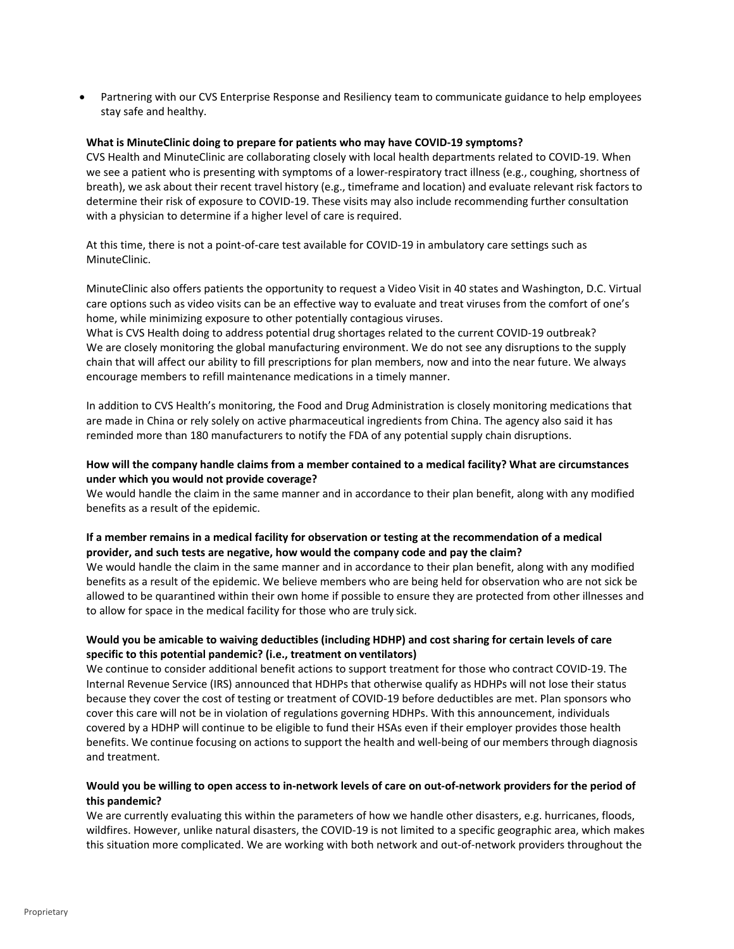Partnering with our CVS Enterprise Response and Resiliency team to communicate guidance to help employees stay safe and healthy.

### **What is MinuteClinic doing to prepare for patients who may have COVID‐19 symptoms?**

CVS Health and MinuteClinic are collaborating closely with local health departments related to COVID‐19. When we see a patient who is presenting with symptoms of a lower-respiratory tract illness (e.g., coughing, shortness of breath), we ask about their recent travel history (e.g., timeframe and location) and evaluate relevant risk factors to determine their risk of exposure to COVID‐19. These visits may also include recommending further consultation with a physician to determine if a higher level of care is required.

At this time, there is not a point-of-care test available for COVID-19 in ambulatory care settings such as MinuteClinic.

MinuteClinic also offers patients the opportunity to request a Video Visit in 40 states and Washington, D.C. Virtual care options such as video visits can be an effective way to evaluate and treat viruses from the comfort of one's home, while minimizing exposure to other potentially contagious viruses.

What is CVS Health doing to address potential drug shortages related to the current COVID‐19 outbreak? We are closely monitoring the global manufacturing environment. We do not see any disruptions to the supply chain that will affect our ability to fill prescriptions for plan members, now and into the near future. We always encourage members to refill maintenance medications in a timely manner.

In addition to CVS Health's monitoring, the Food and Drug Administration is closely monitoring medications that are made in China or rely solely on active pharmaceutical ingredients from China. The agency also said it has reminded more than 180 manufacturers to notify the FDA of any potential supply chain disruptions.

## **How will the company handle claims from a member contained to a medical facility? What are circumstances under which you would not provide coverage?**

We would handle the claim in the same manner and in accordance to their plan benefit, along with any modified benefits as a result of the epidemic.

## If a member remains in a medical facility for observation or testing at the recommendation of a medical **provider, and such tests are negative, how would the company code and pay the claim?**

We would handle the claim in the same manner and in accordance to their plan benefit, along with any modified benefits as a result of the epidemic. We believe members who are being held for observation who are not sick be allowed to be quarantined within their own home if possible to ensure they are protected from other illnesses and to allow for space in the medical facility for those who are truly sick.

## **Would you be amicable to waiving deductibles (including HDHP) and cost sharing for certain levels of care specific to this potential pandemic? (i.e., treatment on ventilators)**

We continue to consider additional benefit actions to support treatment for those who contract COVID‐19. The Internal Revenue Service (IRS) announced that HDHPs that otherwise qualify as HDHPs will not lose their status because they cover the cost of testing or treatment of COVID‐19 before deductibles are met. Plan sponsors who cover this care will not be in violation of regulations governing HDHPs. With this announcement, individuals covered by a HDHP will continue to be eligible to fund their HSAs even if their employer provides those health benefits. We continue focusing on actions to support the health and well‐being of our members through diagnosis and treatment.

## Would you be willing to open access to in-network levels of care on out-of-network providers for the period of **this pandemic?**

We are currently evaluating this within the parameters of how we handle other disasters, e.g. hurricanes, floods, wildfires. However, unlike natural disasters, the COVID‐19 is not limited to a specific geographic area, which makes this situation more complicated. We are working with both network and out‐of‐network providers throughout the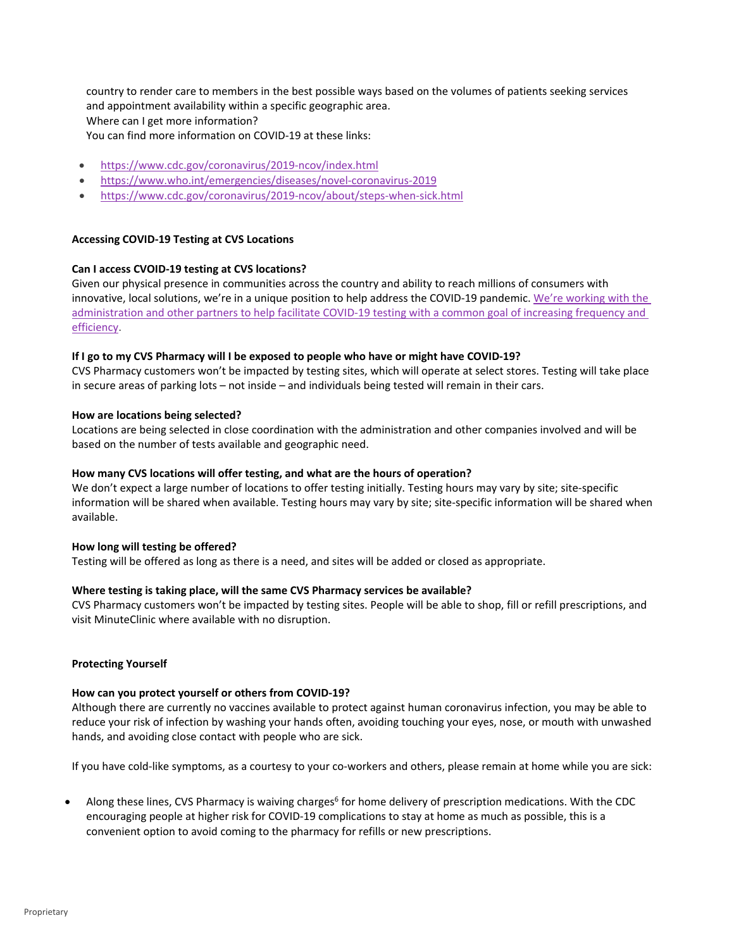country to render care to members in the best possible ways based on the volumes of patients seeking services and appointment availability within a specific geographic area. Where can I get more information?

- You can find more information on COVID‐19 at these links:
- https://www.cdc.gov/coronavirus/2019‐ncov/index.html
- https://www.who.int/emergencies/diseases/novel‐coronavirus‐2019
- https://www.cdc.gov/coronavirus/2019‐ncov/about/steps‐when‐sick.html

## **Accessing COVID‐19 Testing at CVS Locations**

## **Can I access CVOID‐19 testing at CVS locations?**

Given our physical presence in communities across the country and ability to reach millions of consumers with innovative, local solutions, we're in a unique position to help address the COVID‐19 pandemic. We're working with the administration and other partners to help facilitate COVID‐19 testing with a common goal of increasing frequency and efficiency.

## If I go to my CVS Pharmacy will I be exposed to people who have or might have COVID-19?

CVS Pharmacy customers won't be impacted by testing sites, which will operate at select stores. Testing will take place in secure areas of parking lots – not inside – and individuals being tested will remain in their cars.

## **How are locations being selected?**

Locations are being selected in close coordination with the administration and other companies involved and will be based on the number of tests available and geographic need.

## **How many CVS locations will offer testing, and what are the hours of operation?**

We don't expect a large number of locations to offer testing initially. Testing hours may vary by site; site-specific information will be shared when available. Testing hours may vary by site; site‐specific information will be shared when available.

### **How long will testing be offered?**

Testing will be offered as long as there is a need, and sites will be added or closed as appropriate.

## **Where testing is taking place, will the same CVS Pharmacy services be available?**

CVS Pharmacy customers won't be impacted by testing sites. People will be able to shop, fill or refill prescriptions, and visit MinuteClinic where available with no disruption.

### **Protecting Yourself**

### **How can you protect yourself or others from COVID‐19?**

Although there are currently no vaccines available to protect against human coronavirus infection, you may be able to reduce your risk of infection by washing your hands often, avoiding touching your eyes, nose, or mouth with unwashed hands, and avoiding close contact with people who are sick.

If you have cold-like symptoms, as a courtesy to your co-workers and others, please remain at home while you are sick:

Along these lines, CVS Pharmacy is waiving charges<sup>6</sup> for home delivery of prescription medications. With the CDC encouraging people at higher risk for COVID‐19 complications to stay at home as much as possible, this is a convenient option to avoid coming to the pharmacy for refills or new prescriptions.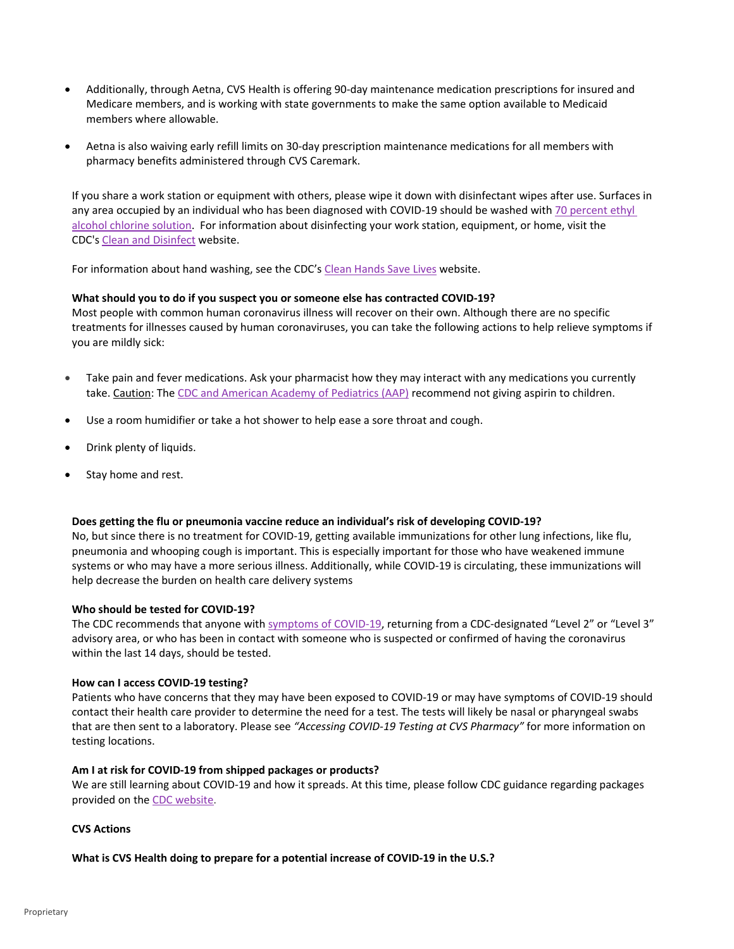- Additionally, through Aetna, CVS Health is offering 90‐day maintenance medication prescriptions for insured and Medicare members, and is working with state governments to make the same option available to Medicaid members where allowable.
- Aetna is also waiving early refill limits on 30‐day prescription maintenance medications for all members with pharmacy benefits administered through CVS Caremark.

If you share a work station or equipment with others, please wipe it down with disinfectant wipes after use. Surfaces in any area occupied by an individual who has been diagnosed with COVID-19 should be washed with 70 percent ethyl alcohol chlorine solution. For information about disinfecting your work station, equipment, or home, visit the CDC's Clean and Disinfect website.

For information about hand washing, see the CDC's Clean Hands Save Lives website.

## **What should you to do if you suspect you or someone else has contracted COVID‐19?**

Most people with common human coronavirus illness will recover on their own. Although there are no specific treatments for illnesses caused by human coronaviruses, you can take the following actions to help relieve symptoms if you are mildly sick:

- Take pain and fever medications. Ask your pharmacist how they may interact with any medications you currently take. Caution: The CDC and American Academy of Pediatrics (AAP) recommend not giving aspirin to children.
- Use a room humidifier or take a hot shower to help ease a sore throat and cough.
- Drink plenty of liquids.
- Stay home and rest.

## **Does getting the flu or pneumonia vaccine reduce an individual's risk of developing COVID‐19?**

No, but since there is no treatment for COVID‐19, getting available immunizations for other lung infections, like flu, pneumonia and whooping cough is important. This is especially important for those who have weakened immune systems or who may have a more serious illness. Additionally, while COVID‐19 is circulating, these immunizations will help decrease the burden on health care delivery systems

### **Who should be tested for COVID‐19?**

The CDC recommends that anyone with symptoms of COVID-19, returning from a CDC-designated "Level 2" or "Level 3" advisory area, or who has been in contact with someone who is suspected or confirmed of having the coronavirus within the last 14 days, should be tested.

### **How can I access COVID‐19 testing?**

Patients who have concerns that they may have been exposed to COVID‐19 or may have symptoms of COVID‐19 should contact their health care provider to determine the need for a test. The tests will likely be nasal or pharyngeal swabs that are then sent to a laboratory. Please see *"Accessing COVID‐19 Testing at CVS Pharmacy"* for more information on testing locations.

### **Am I at risk for COVID‐19 from shipped packages or products?**

We are still learning about COVID‐19 and how it spreads. At this time, please follow CDC guidance regarding packages provided on the CDC website.

### **CVS Actions**

### **What is CVS Health doing to prepare for a potential increase of COVID‐19 in the U.S.?**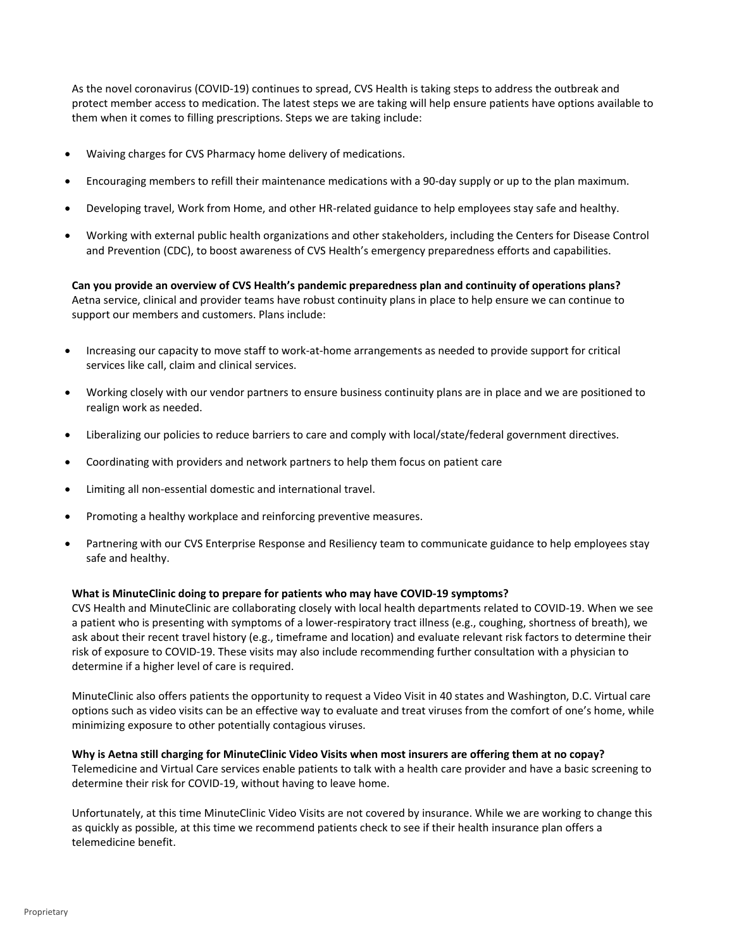As the novel coronavirus (COVID‐19) continues to spread, CVS Health is taking steps to address the outbreak and protect member access to medication. The latest steps we are taking will help ensure patients have options available to them when it comes to filling prescriptions. Steps we are taking include:

- Waiving charges for CVS Pharmacy home delivery of medications.
- Encouraging members to refill their maintenance medications with a 90‐day supply or up to the plan maximum.
- Developing travel, Work from Home, and other HR‐related guidance to help employees stay safe and healthy.
- Working with external public health organizations and other stakeholders, including the Centers for Disease Control and Prevention (CDC), to boost awareness of CVS Health's emergency preparedness efforts and capabilities.

**Can you provide an overview of CVS Health's pandemic preparedness plan and continuity of operations plans?** Aetna service, clinical and provider teams have robust continuity plans in place to help ensure we can continue to support our members and customers. Plans include:

- Increasing our capacity to move staff to work‐at‐home arrangements as needed to provide support for critical services like call, claim and clinical services.
- Working closely with our vendor partners to ensure business continuity plans are in place and we are positioned to realign work as needed.
- Liberalizing our policies to reduce barriers to care and comply with local/state/federal government directives.
- Coordinating with providers and network partners to help them focus on patient care
- Limiting all non‐essential domestic and international travel.
- Promoting a healthy workplace and reinforcing preventive measures.
- Partnering with our CVS Enterprise Response and Resiliency team to communicate guidance to help employees stay safe and healthy.

#### **What is MinuteClinic doing to prepare for patients who may have COVID‐19 symptoms?**

CVS Health and MinuteClinic are collaborating closely with local health departments related to COVID‐19. When we see a patient who is presenting with symptoms of a lower‐respiratory tract illness (e.g., coughing, shortness of breath), we ask about their recent travel history (e.g., timeframe and location) and evaluate relevant risk factors to determine their risk of exposure to COVID‐19. These visits may also include recommending further consultation with a physician to determine if a higher level of care is required.

MinuteClinic also offers patients the opportunity to request a Video Visit in 40 states and Washington, D.C. Virtual care options such as video visits can be an effective way to evaluate and treat viruses from the comfort of one's home, while minimizing exposure to other potentially contagious viruses.

Why is Aetna still charging for MinuteClinic Video Visits when most insurers are offering them at no copay? Telemedicine and Virtual Care services enable patients to talk with a health care provider and have a basic screening to determine their risk for COVID‐19, without having to leave home.

Unfortunately, at this time MinuteClinic Video Visits are not covered by insurance. While we are working to change this as quickly as possible, at this time we recommend patients check to see if their health insurance plan offers a telemedicine benefit.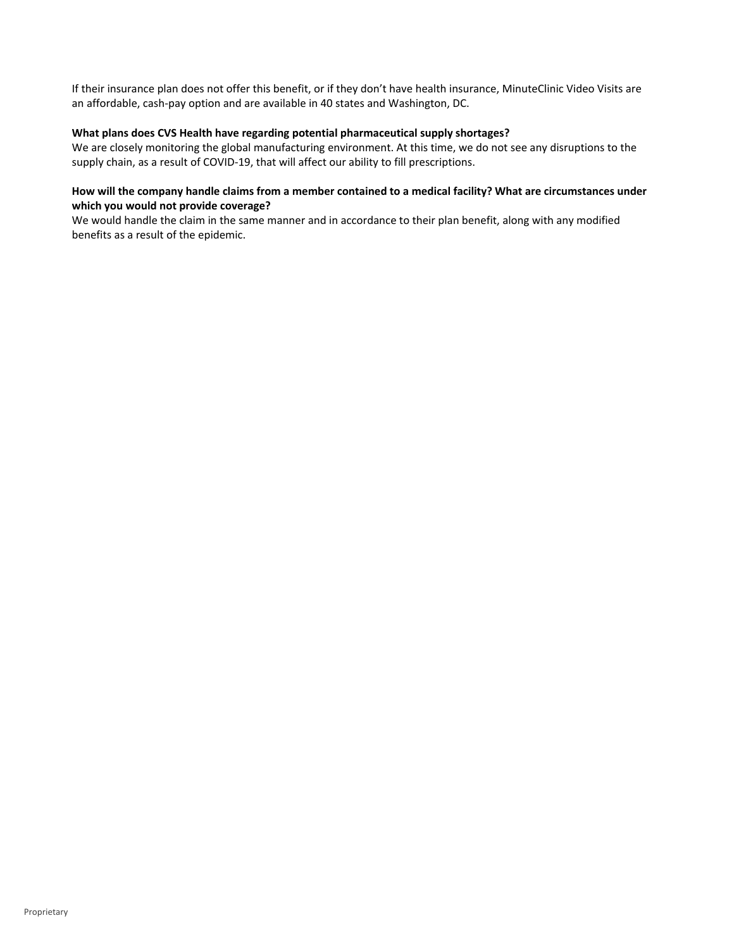If their insurance plan does not offer this benefit, or if they don't have health insurance, MinuteClinic Video Visits are an affordable, cash‐pay option and are available in 40 states and Washington, DC.

## **What plans does CVS Health have regarding potential pharmaceutical supply shortages?**

We are closely monitoring the global manufacturing environment. At this time, we do not see any disruptions to the supply chain, as a result of COVID‐19, that will affect our ability to fill prescriptions.

# How will the company handle claims from a member contained to a medical facility? What are circumstances under **which you would not provide coverage?**

We would handle the claim in the same manner and in accordance to their plan benefit, along with any modified benefits as a result of the epidemic.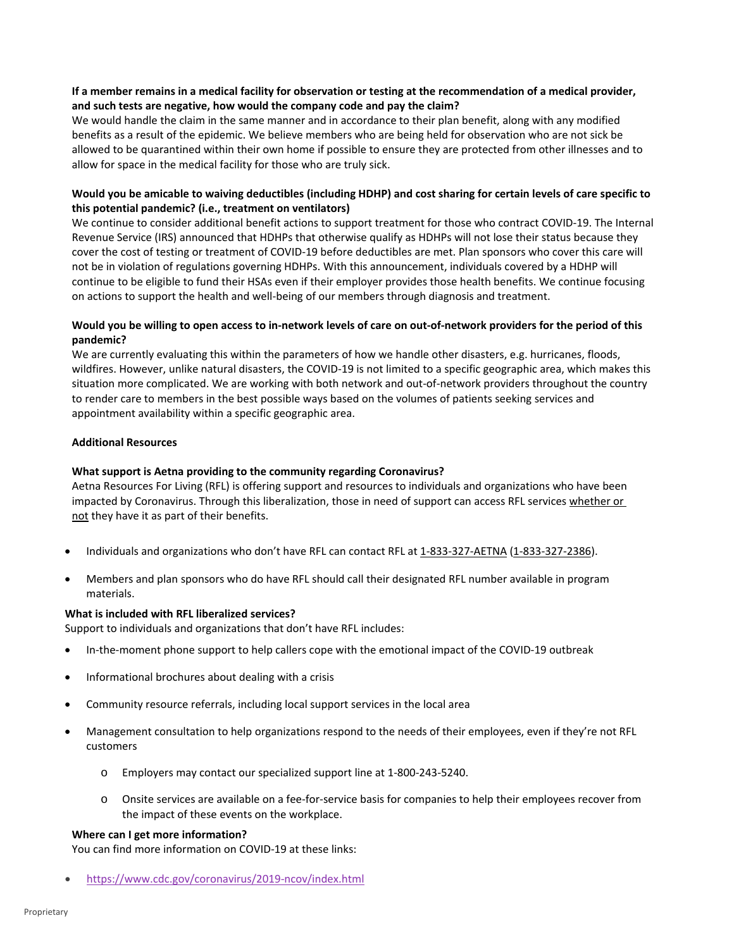## If a member remains in a medical facility for observation or testing at the recommendation of a medical provider, **and such tests are negative, how would the company code and pay the claim?**

We would handle the claim in the same manner and in accordance to their plan benefit, along with any modified benefits as a result of the epidemic. We believe members who are being held for observation who are not sick be allowed to be quarantined within their own home if possible to ensure they are protected from other illnesses and to allow for space in the medical facility for those who are truly sick.

# Would you be amicable to waiving deductibles (including HDHP) and cost sharing for certain levels of care specific to **this potential pandemic? (i.e., treatment on ventilators)**

We continue to consider additional benefit actions to support treatment for those who contract COVID‐19. The Internal Revenue Service (IRS) announced that HDHPs that otherwise qualify as HDHPs will not lose their status because they cover the cost of testing or treatment of COVID‐19 before deductibles are met. Plan sponsors who cover this care will not be in violation of regulations governing HDHPs. With this announcement, individuals covered by a HDHP will continue to be eligible to fund their HSAs even if their employer provides those health benefits. We continue focusing on actions to support the health and well‐being of our members through diagnosis and treatment.

## Would you be willing to open access to in-network levels of care on out-of-network providers for the period of this **pandemic?**

We are currently evaluating this within the parameters of how we handle other disasters, e.g. hurricanes, floods, wildfires. However, unlike natural disasters, the COVID-19 is not limited to a specific geographic area, which makes this situation more complicated. We are working with both network and out-of-network providers throughout the country to render care to members in the best possible ways based on the volumes of patients seeking services and appointment availability within a specific geographic area.

## **Additional Resources**

## **What support is Aetna providing to the community regarding Coronavirus?**

Aetna Resources For Living (RFL) is offering support and resources to individuals and organizations who have been impacted by Coronavirus. Through this liberalization, those in need of support can access RFL services whether or not they have it as part of their benefits.

- Individuals and organizations who don't have RFL can contact RFL at 1-833-327-AETNA (1-833-327-2386).
- Members and plan sponsors who do have RFL should call their designated RFL number available in program materials.

### **What is included with RFL liberalized services?**

Support to individuals and organizations that don't have RFL includes:

- In‐the‐moment phone support to help callers cope with the emotional impact of the COVID‐19 outbreak
- Informational brochures about dealing with a crisis
- Community resource referrals, including local support services in the local area
- Management consultation to help organizations respond to the needs of their employees, even if they're not RFL customers
	- o Employers may contact our specialized support line at 1‐800‐243‐5240.
	- o Onsite services are available on a fee‐for‐service basis for companies to help their employees recover from the impact of these events on the workplace.

### **Where can I get more information?**

You can find more information on COVID‐19 at these links:

https://www.cdc.gov/coronavirus/2019‐ncov/index.html